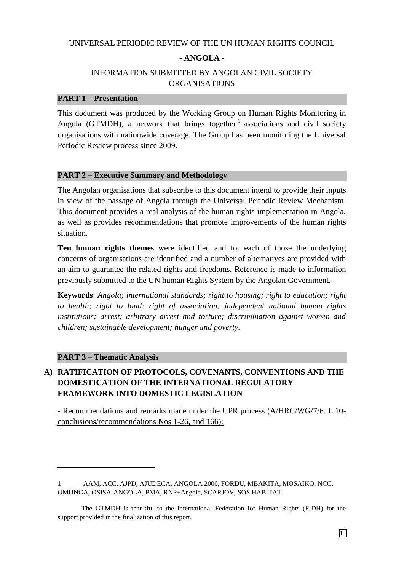#### UNIVERSAL PERIODIC REVIEW OF THE UN HUMAN RIGHTS COUNCIL

#### **- ANGOLA -**

## INFORMATION SUBMITTED BY ANGOLAN CIVIL SOCIETY ORGANISATIONS

#### **PART 1 – Presentation**

This document was produced by the Working Group on Human Rights Monitoring in Angola (GTMDH), a network that brings together  $1$  associations and civil society organisations with nationwide coverage. The Group has been monitoring the Universal Periodic Review process since 2009.

#### **PART 2 – Executive Summary and Methodology**

The Angolan organisations that subscribe to this document intend to provide their inputs in view of the passage of Angola through the Universal Periodic Review Mechanism. This document provides a real analysis of the human rights implementation in Angola, as well as provides recommendations that promote improvements of the human rights situation.

**Ten human rights themes** were identified and for each of those the underlying concerns of organisations are identified and a number of alternatives are provided with an aim to guarantee the related rights and freedoms. Reference is made to information previously submitted to the UN human Rights System by the Angolan Government.

**Keywords**: *Angola; international standards; right to housing; right to education; right to health; right to land; right of association; independent national human rights institutions; arrest; arbitrary arrest and torture; discrimination against women and children; sustainable development; hunger and poverty.*

#### **PART 3 – Thematic Analysis**

 $\overline{a}$ 

# **A) RATIFICATION OF PROTOCOLS, COVENANTS, CONVENTIONS AND THE DOMESTICATION OF THE INTERNATIONAL REGULATORY FRAMEWORK INTO DOMESTIC LEGISLATION**

- Recommendations and remarks made under the UPR process (A/HRC/WG/7/6. L.10 conclusions/recommendations Nos 1-26, and 166):

<sup>1</sup> AAM, ACC, AJPD, AJUDECA, ANGOLA 2000, FORDU, MBAKITA, MOSAIKO, NCC, OMUNGA, OSISA-ANGOLA, PMA, RNP+Angola, SCARJOV, SOS HABITAT.

The GTMDH is thankful to the International Federation for Human Rights (FIDH) for the support provided in the finalization of this report.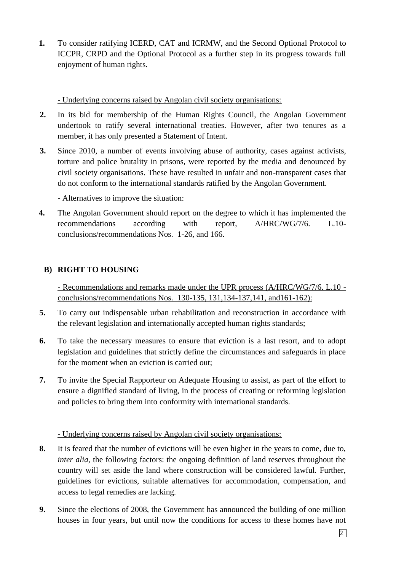**1.** To consider ratifying ICERD, CAT and ICRMW, and the Second Optional Protocol to ICCPR, CRPD and the Optional Protocol as a further step in its progress towards full enjoyment of human rights.

- Underlying concerns raised by Angolan civil society organisations:

- **2.** In its bid for membership of the Human Rights Council, the Angolan Government undertook to ratify several international treaties. However, after two tenures as a member, it has only presented a Statement of Intent.
- **3.** Since 2010, a number of events involving abuse of authority, cases against activists, torture and police brutality in prisons, were reported by the media and denounced by civil society organisations. These have resulted in unfair and non-transparent cases that do not conform to the international standards ratified by the Angolan Government.

- Alternatives to improve the situation:

**4.** The Angolan Government should report on the degree to which it has implemented the recommendations according with report, A/HRC/WG/7/6. L.10 conclusions/recommendations Nos. 1-26, and 166.

# **B) RIGHT TO HOUSING**

- Recommendations and remarks made under the UPR process (A/HRC/WG/7/6. L.10 conclusions/recommendations Nos. 130-135, 131,134-137,141, and161-162):

- **5.** To carry out indispensable urban rehabilitation and reconstruction in accordance with the relevant legislation and internationally accepted human rights standards;
- **6.** To take the necessary measures to ensure that eviction is a last resort, and to adopt legislation and guidelines that strictly define the circumstances and safeguards in place for the moment when an eviction is carried out;
- **7.** To invite the Special Rapporteur on Adequate Housing to assist, as part of the effort to ensure a dignified standard of living, in the process of creating or reforming legislation and policies to bring them into conformity with international standards.

### - Underlying concerns raised by Angolan civil society organisations:

- **8.** It is feared that the number of evictions will be even higher in the years to come, due to, *inter alia*, the following factors: the ongoing definition of land reserves throughout the country will set aside the land where construction will be considered lawful. Further, guidelines for evictions, suitable alternatives for accommodation, compensation, and access to legal remedies are lacking.
- **9.** Since the elections of 2008, the Government has announced the building of one million houses in four years, but until now the conditions for access to these homes have not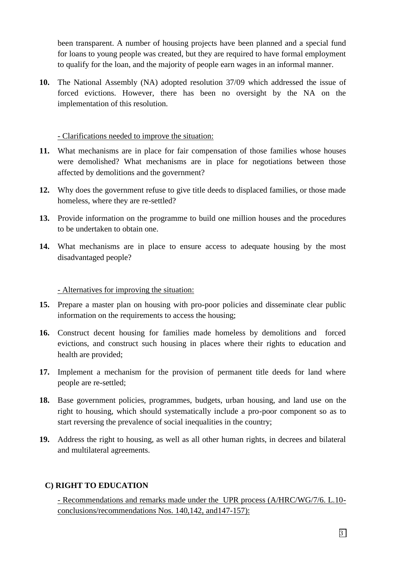been transparent. A number of housing projects have been planned and a special fund for loans to young people was created, but they are required to have formal employment to qualify for the loan, and the majority of people earn wages in an informal manner.

**10.** The National Assembly (NA) adopted resolution 37/09 which addressed the issue of forced evictions. However, there has been no oversight by the NA on the implementation of this resolution.

#### - Clarifications needed to improve the situation:

- **11.** What mechanisms are in place for fair compensation of those families whose houses were demolished? What mechanisms are in place for negotiations between those affected by demolitions and the government?
- **12.** Why does the government refuse to give title deeds to displaced families, or those made homeless, where they are re-settled?
- **13.** Provide information on the programme to build one million houses and the procedures to be undertaken to obtain one.
- **14.** What mechanisms are in place to ensure access to adequate housing by the most disadvantaged people?

#### - Alternatives for improving the situation:

- **15.** Prepare a master plan on housing with pro-poor policies and disseminate clear public information on the requirements to access the housing;
- **16.** Construct decent housing for families made homeless by demolitions and forced evictions, and construct such housing in places where their rights to education and health are provided;
- **17.** Implement a mechanism for the provision of permanent title deeds for land where people are re-settled;
- **18.** Base government policies, programmes, budgets, urban housing, and land use on the right to housing, which should systematically include a pro-poor component so as to start reversing the prevalence of social inequalities in the country;
- **19.** Address the right to housing, as well as all other human rights, in decrees and bilateral and multilateral agreements.

# **C) RIGHT TO EDUCATION**

- Recommendations and remarks made under the UPR process (A/HRC/WG/7/6. L.10 conclusions/recommendations Nos. 140,142, and147-157):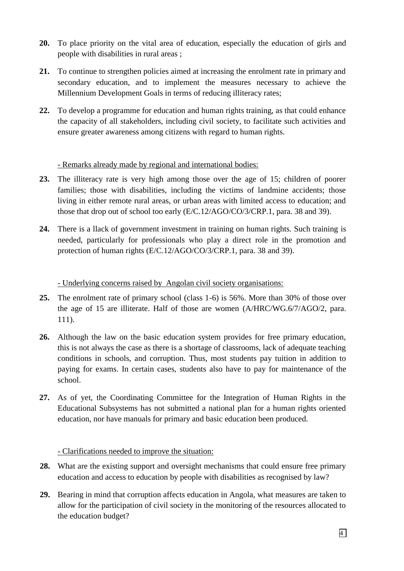- **20.** To place priority on the vital area of education, especially the education of girls and people with disabilities in rural areas ;
- **21.** To continue to strengthen policies aimed at increasing the enrolment rate in primary and secondary education, and to implement the measures necessary to achieve the Millennium Development Goals in terms of reducing illiteracy rates;
- **22.** To develop a programme for education and human rights training, as that could enhance the capacity of all stakeholders, including civil society, to facilitate such activities and ensure greater awareness among citizens with regard to human rights.

## - Remarks already made by regional and international bodies:

- **23.** The illiteracy rate is very high among those over the age of 15; children of poorer families; those with disabilities, including the victims of landmine accidents; those living in either remote rural areas, or urban areas with limited access to education; and those that drop out of school too early (E/C.12/AGO/CO/3/CRP.1, para. 38 and 39).
- **24.** There is a llack of government investment in training on human rights. Such training is needed, particularly for professionals who play a direct role in the promotion and protection of human rights (E/C.12/AGO/CO/3/CRP.1, para. 38 and 39).

- Underlying concerns raised by Angolan civil society organisations:

- **25.** The enrolment rate of primary school (class 1-6) is 56%. More than 30% of those over the age of 15 are illiterate. Half of those are women (A/HRC/WG.6/7/AGO/2, para. 111).
- **26.** Although the law on the basic education system provides for free primary education, this is not always the case as there is a shortage of classrooms, lack of adequate teaching conditions in schools, and corruption. Thus, most students pay tuition in addition to paying for exams. In certain cases, students also have to pay for maintenance of the school.
- **27.** As of yet, the Coordinating Committee for the Integration of Human Rights in the Educational Subsystems has not submitted a national plan for a human rights oriented education, nor have manuals for primary and basic education been produced.

# - Clarifications needed to improve the situation:

- **28.** What are the existing support and oversight mechanisms that could ensure free primary education and access to education by people with disabilities as recognised by law?
- **29.** Bearing in mind that corruption affects education in Angola, what measures are taken to allow for the participation of civil society in the monitoring of the resources allocated to the education budget?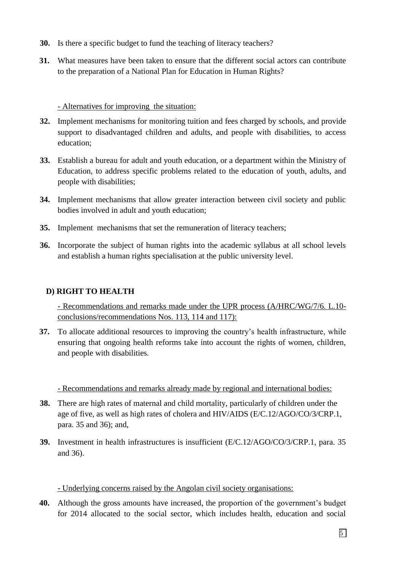- **30.** Is there a specific budget to fund the teaching of literacy teachers?
- **31.** What measures have been taken to ensure that the different social actors can contribute to the preparation of a National Plan for Education in Human Rights?

### - Alternatives for improving the situation:

- **32.** Implement mechanisms for monitoring tuition and fees charged by schools, and provide support to disadvantaged children and adults, and people with disabilities, to access education;
- **33.** Establish a bureau for adult and youth education, or a department within the Ministry of Education, to address specific problems related to the education of youth, adults, and people with disabilities;
- **34.** Implement mechanisms that allow greater interaction between civil society and public bodies involved in adult and youth education;
- **35.** Implement mechanisms that set the remuneration of literacy teachers;
- **36.** Incorporate the subject of human rights into the academic syllabus at all school levels and establish a human rights specialisation at the public university level.

# **D) RIGHT TO HEALTH**

- Recommendations and remarks made under the UPR process (A/HRC/WG/7/6. L.10 conclusions/recommendations Nos. 113, 114 and 117):

**37.** To allocate additional resources to improving the country's health infrastructure, while ensuring that ongoing health reforms take into account the rights of women, children, and people with disabilities.

- Recommendations and remarks already made by regional and international bodies:

- **38.** There are high rates of maternal and child mortality, particularly of children under the age of five, as well as high rates of cholera and HIV/AIDS (E/C.12/AGO/CO/3/CRP.1, para. 35 and 36); and,
- **39.** Investment in health infrastructures is insufficient (E/C.12/AGO/CO/3/CRP.1, para. 35 and 36).

### - Underlying concerns raised by the Angolan civil society organisations:

**40.** Although the gross amounts have increased, the proportion of the government's budget for 2014 allocated to the social sector, which includes health, education and social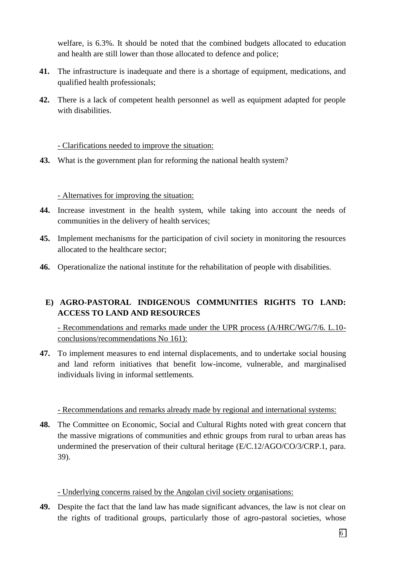welfare, is 6.3%. It should be noted that the combined budgets allocated to education and health are still lower than those allocated to defence and police;

- **41.** The infrastructure is inadequate and there is a shortage of equipment, medications, and qualified health professionals;
- **42.** There is a lack of competent health personnel as well as equipment adapted for people with disabilities.

### - Clarifications needed to improve the situation:

**43.** What is the government plan for reforming the national health system?

## - Alternatives for improving the situation:

- **44.** Increase investment in the health system, while taking into account the needs of communities in the delivery of health services;
- **45.** Implement mechanisms for the participation of civil society in monitoring the resources allocated to the healthcare sector;
- **46.** Operationalize the national institute for the rehabilitation of people with disabilities.

# **E) AGRO-PASTORAL INDIGENOUS COMMUNITIES RIGHTS TO LAND: ACCESS TO LAND AND RESOURCES**

- Recommendations and remarks made under the UPR process (A/HRC/WG/7/6. L.10 conclusions/recommendations No 161):

**47.** To implement measures to end internal displacements, and to undertake social housing and land reform initiatives that benefit low-income, vulnerable, and marginalised individuals living in informal settlements.

### - Recommendations and remarks already made by regional and international systems:

**48.** The Committee on Economic, Social and Cultural Rights noted with great concern that the massive migrations of communities and ethnic groups from rural to urban areas has undermined the preservation of their cultural heritage (E/C.12/AGO/CO/3/CRP.1, para. 39).

### - Underlying concerns raised by the Angolan civil society organisations:

**49.** Despite the fact that the land law has made significant advances, the law is not clear on the rights of traditional groups, particularly those of agro-pastoral societies, whose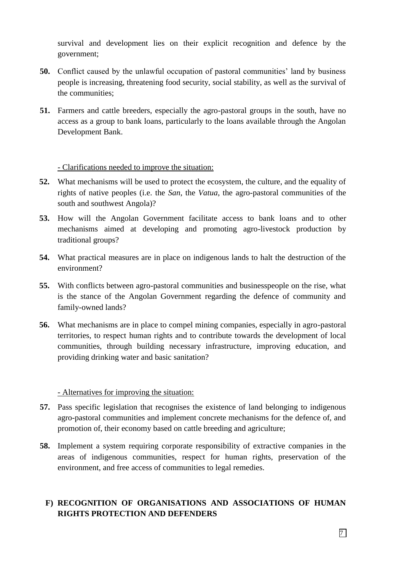survival and development lies on their explicit recognition and defence by the government;

- **50.** Conflict caused by the unlawful occupation of pastoral communities' land by business people is increasing, threatening food security, social stability, as well as the survival of the communities;
- **51.** Farmers and cattle breeders, especially the agro-pastoral groups in the south, have no access as a group to bank loans, particularly to the loans available through the Angolan Development Bank.

### - Clarifications needed to improve the situation:

- **52.** What mechanisms will be used to protect the ecosystem, the culture, and the equality of rights of native peoples (i.e. the *San*, the *Vatua*, the agro-pastoral communities of the south and southwest Angola)?
- **53.** How will the Angolan Government facilitate access to bank loans and to other mechanisms aimed at developing and promoting agro-livestock production by traditional groups?
- **54.** What practical measures are in place on indigenous lands to halt the destruction of the environment?
- **55.** With conflicts between agro-pastoral communities and businesspeople on the rise, what is the stance of the Angolan Government regarding the defence of community and family-owned lands?
- **56.** What mechanisms are in place to compel mining companies, especially in agro-pastoral territories, to respect human rights and to contribute towards the development of local communities, through building necessary infrastructure, improving education, and providing drinking water and basic sanitation?

### - Alternatives for improving the situation:

- **57.** Pass specific legislation that recognises the existence of land belonging to indigenous agro-pastoral communities and implement concrete mechanisms for the defence of, and promotion of, their economy based on cattle breeding and agriculture;
- **58.** Implement a system requiring corporate responsibility of extractive companies in the areas of indigenous communities, respect for human rights, preservation of the environment, and free access of communities to legal remedies.

# **F) RECOGNITION OF ORGANISATIONS AND ASSOCIATIONS OF HUMAN RIGHTS PROTECTION AND DEFENDERS**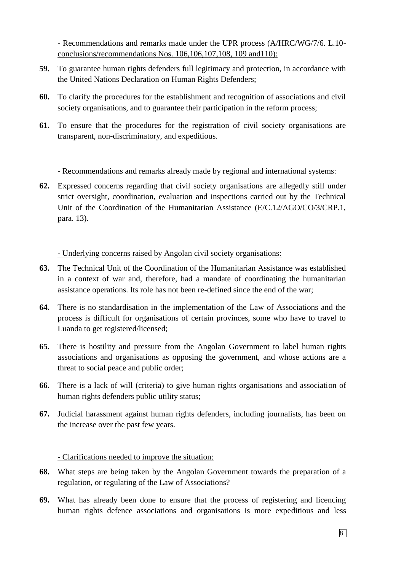- Recommendations and remarks made under the UPR process (A/HRC/WG/7/6. L.10 conclusions/recommendations Nos. 106,106,107,108, 109 and110):

- **59.** To guarantee human rights defenders full legitimacy and protection, in accordance with the United Nations Declaration on Human Rights Defenders;
- **60.** To clarify the procedures for the establishment and recognition of associations and civil society organisations, and to guarantee their participation in the reform process;
- **61.** To ensure that the procedures for the registration of civil society organisations are transparent, non-discriminatory, and expeditious.

### - Recommendations and remarks already made by regional and international systems:

**62.** Expressed concerns regarding that civil society organisations are allegedly still under strict oversight, coordination, evaluation and inspections carried out by the Technical Unit of the Coordination of the Humanitarian Assistance (E/C.12/AGO/CO/3/CRP.1, para. 13).

## - Underlying concerns raised by Angolan civil society organisations:

- **63.** The Technical Unit of the Coordination of the Humanitarian Assistance was established in a context of war and, therefore, had a mandate of coordinating the humanitarian assistance operations. Its role has not been re-defined since the end of the war;
- **64.** There is no standardisation in the implementation of the Law of Associations and the process is difficult for organisations of certain provinces, some who have to travel to Luanda to get registered/licensed;
- **65.** There is hostility and pressure from the Angolan Government to label human rights associations and organisations as opposing the government, and whose actions are a threat to social peace and public order;
- **66.** There is a lack of will (criteria) to give human rights organisations and association of human rights defenders public utility status;
- **67.** Judicial harassment against human rights defenders, including journalists, has been on the increase over the past few years.

### - Clarifications needed to improve the situation:

- **68.** What steps are being taken by the Angolan Government towards the preparation of a regulation, or regulating of the Law of Associations?
- **69.** What has already been done to ensure that the process of registering and licencing human rights defence associations and organisations is more expeditious and less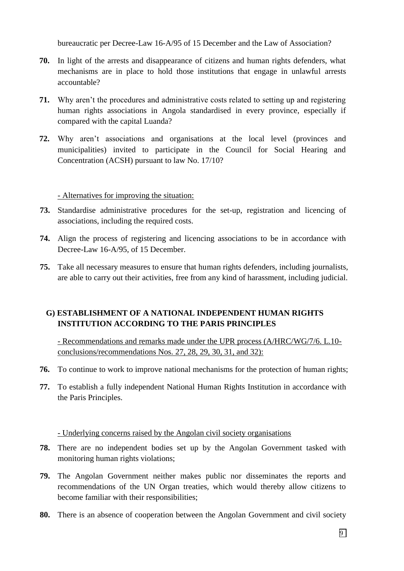bureaucratic per Decree-Law 16-A/95 of 15 December and the Law of Association?

- **70.** In light of the arrests and disappearance of citizens and human rights defenders, what mechanisms are in place to hold those institutions that engage in unlawful arrests accountable?
- **71.** Why aren't the procedures and administrative costs related to setting up and registering human rights associations in Angola standardised in every province, especially if compared with the capital Luanda?
- **72.** Why aren't associations and organisations at the local level (provinces and municipalities) invited to participate in the Council for Social Hearing and Concentration (ACSH) pursuant to law No. 17/10?

- Alternatives for improving the situation:

- **73.** Standardise administrative procedures for the set-up, registration and licencing of associations, including the required costs.
- **74.** Align the process of registering and licencing associations to be in accordance with Decree-Law 16-A/95, of 15 December.
- **75.** Take all necessary measures to ensure that human rights defenders, including journalists, are able to carry out their activities, free from any kind of harassment, including judicial.

# **G) ESTABLISHMENT OF A NATIONAL INDEPENDENT HUMAN RIGHTS INSTITUTION ACCORDING TO THE PARIS PRINCIPLES**

- Recommendations and remarks made under the UPR process (A/HRC/WG/7/6. L.10 conclusions/recommendations Nos. 27, 28, 29, 30, 31, and 32):

- **76.** To continue to work to improve national mechanisms for the protection of human rights;
- **77.** To establish a fully independent National Human Rights Institution in accordance with the Paris Principles.

### - Underlying concerns raised by the Angolan civil society organisations

- **78.** There are no independent bodies set up by the Angolan Government tasked with monitoring human rights violations;
- **79.** The Angolan Government neither makes public nor disseminates the reports and recommendations of the UN Organ treaties, which would thereby allow citizens to become familiar with their responsibilities;
- **80.** There is an absence of cooperation between the Angolan Government and civil society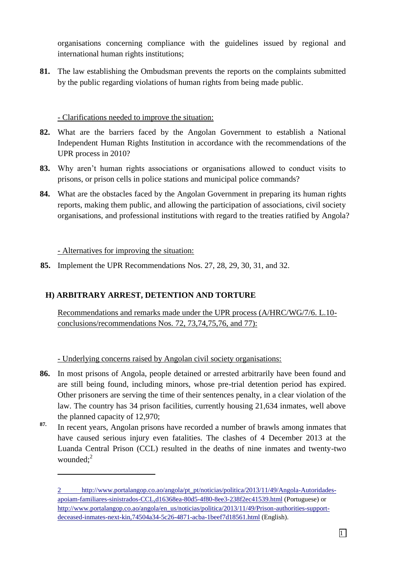organisations concerning compliance with the guidelines issued by regional and international human rights institutions;

**81.** The law establishing the Ombudsman prevents the reports on the complaints submitted by the public regarding violations of human rights from being made public.

## - Clarifications needed to improve the situation:

- **82.** What are the barriers faced by the Angolan Government to establish a National Independent Human Rights Institution in accordance with the recommendations of the UPR process in 2010?
- **83.** Why aren't human rights associations or organisations allowed to conduct visits to prisons, or prison cells in police stations and municipal police commands?
- **84.** What are the obstacles faced by the Angolan Government in preparing its human rights reports, making them public, and allowing the participation of associations, civil society organisations, and professional institutions with regard to the treaties ratified by Angola?

- Alternatives for improving the situation:

 $\overline{a}$ 

**85.** Implement the UPR Recommendations Nos. 27, 28, 29, 30, 31, and 32.

# **H) ARBITRARY ARREST, DETENTION AND TORTURE**

Recommendations and remarks made under the UPR process (A/HRC/WG/7/6. L.10 conclusions/recommendations Nos. 72, 73,74,75,76, and 77):

- Underlying concerns raised by Angolan civil society organisations:

- **86.** In most prisons of Angola, people detained or arrested arbitrarily have been found and are still being found, including minors, whose pre-trial detention period has expired. Other prisoners are serving the time of their sentences penalty, in a clear violation of the law. The country has 34 prison facilities, currently housing 21,634 inmates, well above the planned capacity of 12,970;
- **87.** In recent years, Angolan prisons have recorded a number of brawls among inmates that have caused serious injury even fatalities. The clashes of 4 December 2013 at the Luanda Central Prison (CCL) resulted in the deaths of nine inmates and twenty-two wounded: $2$

<sup>2</sup> [http://www.portalangop.co.ao/angola/pt\\_pt/noticias/politica/2013/11/49/Angola-Autoridades](http://www.portalangop.co.ao/angola/pt_pt/noticias/politica/2013/11/49/Angola-Autoridades-apoiam-familiares-sinistrados-CCL,d16368ea-80d5-4f80-8ee3-238f2ec41539.html)[apoiam-familiares-sinistrados-CCL,d16368ea-80d5-4f80-8ee3-238f2ec41539.html](http://www.portalangop.co.ao/angola/pt_pt/noticias/politica/2013/11/49/Angola-Autoridades-apoiam-familiares-sinistrados-CCL,d16368ea-80d5-4f80-8ee3-238f2ec41539.html) (Portuguese) or [http://www.portalangop.co.ao/angola/en\\_us/noticias/politica/2013/11/49/Prison-authorities-support](http://www.portalangop.co.ao/angola/en_us/noticias/politica/2013/11/49/Prison-authorities-support-deceased-inmates-next-kin,74504a34-5c26-4871-acba-1beef7d18561.html)[deceased-inmates-next-kin,74504a34-5c26-4871-acba-1beef7d18561.html](http://www.portalangop.co.ao/angola/en_us/noticias/politica/2013/11/49/Prison-authorities-support-deceased-inmates-next-kin,74504a34-5c26-4871-acba-1beef7d18561.html) (English).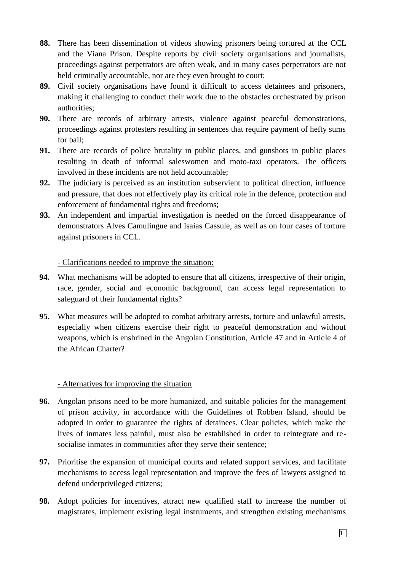- **88.** There has been dissemination of videos showing prisoners being tortured at the CCL and the Viana Prison. Despite reports by civil society organisations and journalists, proceedings against perpetrators are often weak, and in many cases perpetrators are not held criminally accountable, nor are they even brought to court;
- **89.** Civil society organisations have found it difficult to access detainees and prisoners, making it challenging to conduct their work due to the obstacles orchestrated by prison authorities;
- **90.** There are records of arbitrary arrests, violence against peaceful demonstrations, proceedings against protesters resulting in sentences that require payment of hefty sums for bail;
- **91.** There are records of police brutality in public places, and gunshots in public places resulting in death of informal saleswomen and moto-taxi operators. The officers involved in these incidents are not held accountable;
- **92.** The judiciary is perceived as an institution subservient to political direction, influence and pressure, that does not effectively play its critical role in the defence, protection and enforcement of fundamental rights and freedoms;
- **93.** An independent and impartial investigation is needed on the forced disappearance of demonstrators Alves Camulingue and Isaias Cassule, as well as on four cases of torture against prisoners in CCL.

## - Clarifications needed to improve the situation:

- **94.** What mechanisms will be adopted to ensure that all citizens, irrespective of their origin, race, gender, social and economic background, can access legal representation to safeguard of their fundamental rights?
- **95.** What measures will be adopted to combat arbitrary arrests, torture and unlawful arrests, especially when citizens exercise their right to peaceful demonstration and without weapons, which is enshrined in the Angolan Constitution, Article 47 and in Article 4 of the African Charter?

### - Alternatives for improving the situation

- **96.** Angolan prisons need to be more humanized, and suitable policies for the management of prison activity, in accordance with the Guidelines of Robben Island, should be adopted in order to guarantee the rights of detainees. Clear policies, which make the lives of inmates less painful, must also be established in order to reintegrate and resocialise inmates in communities after they serve their sentence;
- **97.** Prioritise the expansion of municipal courts and related support services, and facilitate mechanisms to access legal representation and improve the fees of lawyers assigned to defend underprivileged citizens;
- **98.** Adopt policies for incentives, attract new qualified staff to increase the number of magistrates, implement existing legal instruments, and strengthen existing mechanisms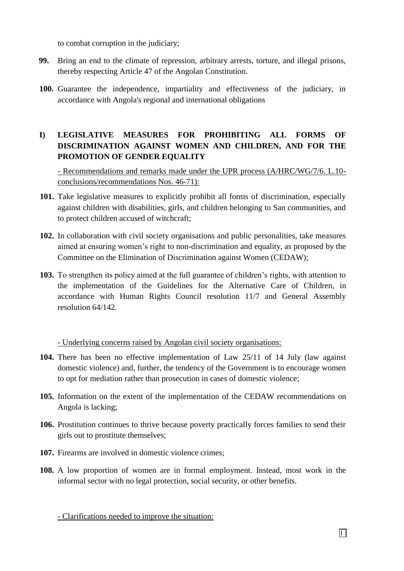to combat corruption in the judiciary;

- **99.** Bring an end to the climate of repression, arbitrary arrests, torture, and illegal prisons, thereby respecting Article 47 of the Angolan Constitution.
- **100.** Guarantee the independence, impartiality and effectiveness of the judiciary, in accordance with Angola's regional and international obligations

# **I) LEGISLATIVE MEASURES FOR PROHIBITING ALL FORMS OF DISCRIMINATION AGAINST WOMEN AND CHILDREN, AND FOR THE PROMOTION OF GENDER EQUALITY**

- Recommendations and remarks made under the UPR process (A/HRC/WG/7/6. L.10 conclusions/recommendations Nos. 46-71):

- **101.** Take legislative measures to explicitly prohibit all forms of discrimination, especially against children with disabilities, girls, and children belonging to San communities, and to protect children accused of witchcraft;
- **102.** In collaboration with civil society organisations and public personalities, take measures aimed at ensuring women's right to non-discrimination and equality, as proposed by the Committee on the Elimination of Discrimination against Women (CEDAW);
- **103.** To strengthen its policy aimed at the full guarantee of children's rights, with attention to the implementation of the Guidelines for the Alternative Care of Children, in accordance with Human Rights Council resolution 11/7 and General Assembly resolution 64/142.

- Underlying concerns raised by Angolan civil society organisations:

- **104.** There has been no effective implementation of Law 25/11 of 14 July (law against domestic violence) and, further, the tendency of the Government is to encourage women to opt for mediation rather than prosecution in cases of domestic violence;
- **105.** Information on the extent of the implementation of the CEDAW recommendations on Angola is lacking;
- **106.** Prostitution continues to thrive because poverty practically forces families to send their girls out to prostitute themselves;
- **107.** Firearms are involved in domestic violence crimes;
- **108.** A low proportion of women are in formal employment. Instead, most work in the informal sector with no legal protection, social security, or other benefits.

 $\Box$ 

- Clarifications needed to improve the situation: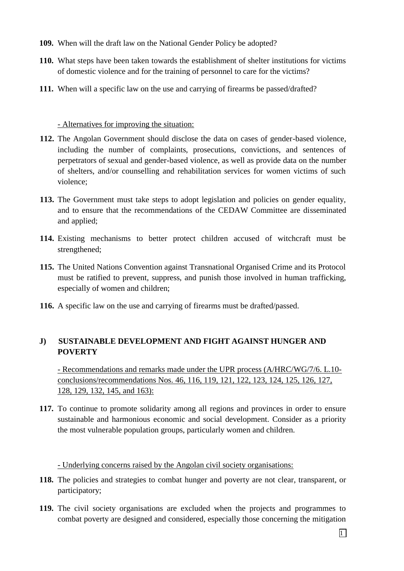- **109.** When will the draft law on the National Gender Policy be adopted?
- **110.** What steps have been taken towards the establishment of shelter institutions for victims of domestic violence and for the training of personnel to care for the victims?
- **111.** When will a specific law on the use and carrying of firearms be passed/drafted?

### - Alternatives for improving the situation:

- **112.** The Angolan Government should disclose the data on cases of gender-based violence, including the number of complaints, prosecutions, convictions, and sentences of perpetrators of sexual and gender-based violence, as well as provide data on the number of shelters, and/or counselling and rehabilitation services for women victims of such violence;
- **113.** The Government must take steps to adopt legislation and policies on gender equality, and to ensure that the recommendations of the CEDAW Committee are disseminated and applied;
- **114.** Existing mechanisms to better protect children accused of witchcraft must be strengthened;
- **115.** The United Nations Convention against Transnational Organised Crime and its Protocol must be ratified to prevent, suppress, and punish those involved in human trafficking, especially of women and children;
- **116.** A specific law on the use and carrying of firearms must be drafted/passed.

# **J) SUSTAINABLE DEVELOPMENT AND FIGHT AGAINST HUNGER AND POVERTY**

- Recommendations and remarks made under the UPR process (A/HRC/WG/7/6. L.10 conclusions/recommendations Nos. 46, 116, 119, 121, 122, 123, 124, 125, 126, 127, 128, 129, 132, 145, and 163):

**117.** To continue to promote solidarity among all regions and provinces in order to ensure sustainable and harmonious economic and social development. Consider as a priority the most vulnerable population groups, particularly women and children.

- Underlying concerns raised by the Angolan civil society organisations:

- **118.** The policies and strategies to combat hunger and poverty are not clear, transparent, or participatory;
- **119.** The civil society organisations are excluded when the projects and programmes to combat poverty are designed and considered, especially those concerning the mitigation